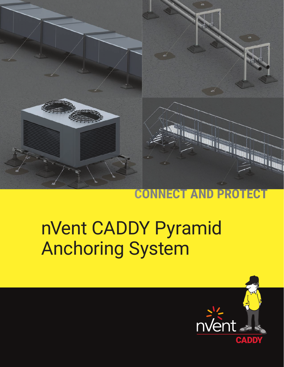

### **CONNECT AND PRO** ECT

# nVent CADDY Pyramid Anchoring System

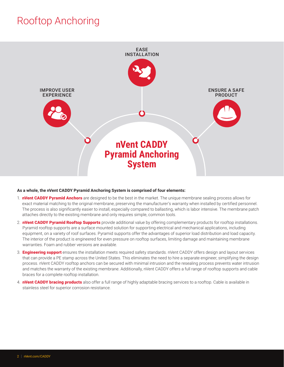# Rooftop Anchoring



#### **As a whole, the nVent CADDY Pyramid Anchoring System is comprised of four elements:**

- 1. **nVent CADDY Pyramid Anchors** are designed to be the best in the market. The unique membrane sealing process allows for exact material matching to the original membrane, preserving the manufacturer's warranty when installed by certified personnel. The process is also significantly easier to install, especially compared to ballasting, which is labor intensive. The membrane patch attaches directly to the existing membrane and only requires simple, common tools.
- 2. **nVent CADDY Pyramid Rooftop Supports** provide additional value by offering complementary products for rooftop installations. Pyramid rooftop supports are a surface mounted solution for supporting electrical and mechanical applications, including equipment, on a variety of roof surfaces. Pyramid supports offer the advantages of superior load distribution and load capacity. The interior of the product is engineered for even pressure on rooftop surfaces, limiting damage and maintaining membrane warranties. Foam and rubber versions are available.
- 3. **Engineering support** ensures the installation meets required safety standards. nVent CADDY offers design and layout services that can provide a PE stamp across the United States. This eliminates the need to hire a separate engineer, simplifying the design process. nVent CADDY rooftop anchors can be secured with minimal intrusion and the resealing process prevents water intrusion and matches the warranty of the existing membrane. Additionally, nVent CADDY offers a full range of rooftop supports and cable braces for a complete rooftop installation.
- 4. **nVent CADDY bracing products** also offer a full range of highly adaptable bracing services to a rooftop. Cable is available in stainless steel for superior corrosion resistance.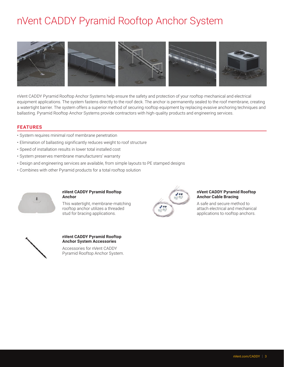# nVent CADDY Pyramid Rooftop Anchor System



nVent CADDY Pyramid Rooftop Anchor Systems help ensure the safety and protection of your rooftop mechanical and electrical equipment applications. The system fastens directly to the roof deck. The anchor is permanently sealed to the roof membrane, creating a watertight barrier. The system offers a superior method of securing rooftop equipment by replacing evasive anchoring techniques and ballasting. Pyramid Rooftop Anchor Systems provide contractors with high-quality products and engineering services.

#### **FEATURES**

- System requires minimal roof membrane penetration
- Elimination of ballasting significantly reduces weight to roof structure
- Speed of installation results in lower total installed cost
- System preserves membrane manufacturers' warranty
- Design and engineering services are available, from simple layouts to PE stamped designs
- Combines with other Pyramid products for a total rooftop solution



#### **nVent CADDY Pyramid Rooftop Anchor**

This watertight, membrane-matching rooftop anchor utilizes a threaded stud for bracing applications.



#### **nVent CADDY Pyramid Rooftop Anchor Cable Bracing**

A safe and secure method to attach electrical and mechanical applications to rooftop anchors.



### **nVent CADDY Pyramid Rooftop Anchor System Accessories**

Accessories for nVent CADDY Pyramid Rooftop Anchor System.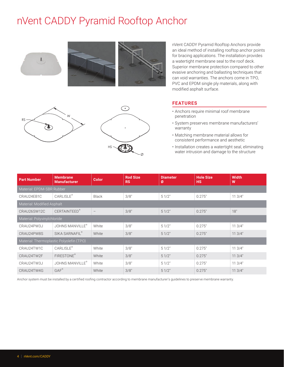# nVent CADDY Pyramid Rooftop Anchor



nVent CADDY Pyramid Rooftop Anchors provide an ideal method of installing rooftop anchor points for bracing applications. The installation provides a watertight membrane seal to the roof deck. Superior membrane protection compared to other evasive anchoring and ballasting techniques that can void warranties. The anchors come in TPO, PVC and EPDM single ply materials, along with modified asphalt surface.

## ⊙ W RS  $\mathbb{C}\mathbb{S}$  $HS$

#### **FEATURES**

- Anchors require minimal roof membrane penetration
- System preserves membrane manufacturers' warranty
- Matching membrane material allows for consistent performance and aesthetic
- Installation creates a watertight seal, eliminating water intrusion and damage to the structure

| <b>Part Number</b>                       | <b>Membrane</b><br><b>Manufacturer</b> | <b>Color</b> | <b>Rod Size</b><br><b>RS</b> | <b>Diameter</b><br>Ø | <b>Hole Size</b><br><b>HS</b> | <b>Width</b><br>W |  |  |
|------------------------------------------|----------------------------------------|--------------|------------------------------|----------------------|-------------------------------|-------------------|--|--|
| Material: EPDM-SBR Rubber                |                                        |              |                              |                      |                               |                   |  |  |
| CRAU24EB1C                               | CARLISLE <sup>®</sup>                  | <b>Black</b> | 3/8"                         | 51/2"                | 0.275"                        | 113/4"            |  |  |
| Material: Modified Asphalt               |                                        |              |                              |                      |                               |                   |  |  |
| CRAU26SW12C                              | <b>CERTAINTEED®</b>                    |              | 3/8"                         | 51/2"                | 0.275"                        | 18"               |  |  |
| Material: Polyvinylchloride              |                                        |              |                              |                      |                               |                   |  |  |
| CRAU24PW3J                               | JOHNS MANVILLE®                        | White        | 3/8"                         | 51/2"                | 0.275"                        | 113/4"            |  |  |
| CRAU24PW8S                               | SIKA SARNAFIL®                         | White        | 3/8"                         | 51/2"                | 0.275"                        | 113/4"            |  |  |
| Material: Thermoplastic Polyolefin (TPO) |                                        |              |                              |                      |                               |                   |  |  |
| CRAU24TW1C                               | <b>CARLISLE®</b>                       | White        | 3/8"                         | 51/2"                | 0.275"                        | 113/4"            |  |  |
| CRAU24TW2F                               | FIRESTONE®                             | White        | 3/8"                         | 51/2"                | 0.275"                        | 113/4"            |  |  |
| CRAU24TW3J                               | <b>JOHNS MANVILLE</b> <sup>®</sup>     | White        | 3/8"                         | 51/2"                | 0.275"                        | 113/4"            |  |  |
| CRAU24TW4G                               | $GAF^*$                                | White        | 3/8"                         | 51/2"                | 0.275"                        | 113/4"            |  |  |

Ø

Anchor system must be installed by a certified roofing contractor according to membrane manufacturer's guidelines to preserve membrane warranty.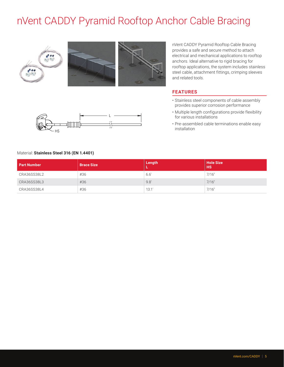# nVent CADDY Pyramid Rooftop Anchor Cable Bracing



nVent CADDY Pyramid Rooftop Cable Bracing provides a safe and secure method to attach electrical and mechanical applications to rooftop anchors. Ideal alternative to rigid bracing for rooftop applications, the system includes stainless steel cable, attachment fittings, crimping sleeves and related tools.

#### **FEATURES**

- Stainless steel components of cable assembly provides superior corrosion performance
- Multiple length configurations provide flexibility for various installations
- Pre-assembled cable terminations enable easy installation



#### Material: **Stainless Steel 316 (EN 1.4401)**

| <b>Part Number</b> | <b>Brace Size</b> | Length | <b>Hole Size</b><br><b>HS</b> |
|--------------------|-------------------|--------|-------------------------------|
| CRA36SS38L2        | #36               | 6.6'   | 7/16"                         |
| CRA36SS38L3        | #36               | 9.8'   | 7/16"                         |
| CRA36SS38L4        | #36               | 13.1'  | 7/16"                         |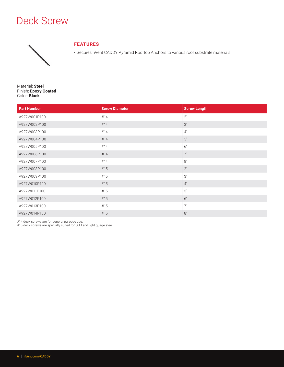# Deck Screw



### **FEATURES**

• Secures nVent CADDY Pyramid Rooftop Anchors to various roof substrate materials

Material: **Steel** Finish: **Epoxy Coated** Color: **Black**

| <b>Part Number</b> | <b>Screw Diameter</b> | <b>Screw Length</b> |
|--------------------|-----------------------|---------------------|
| A927W001P100       | #14                   | 2"                  |
| A927W002P100       | #14                   | 3"                  |
| A927W003P100       | #14                   | 4"                  |
| A927W004P100       | #14                   | 5"                  |
| A927W005P100       | #14                   | 6"                  |
| A927W006P100       | #14                   | 7"                  |
| A927W007P100       | #14                   | 8"                  |
| A927W008P100       | #15                   | 2"                  |
| A927W009P100       | #15                   | $3"$                |
| A927W010P100       | #15                   | 4"                  |
| A927W011P100       | #15                   | $5"$                |
| A927W012P100       | #15                   | 6"                  |
| A927W013P100       | #15                   | 7"                  |
| A927W014P100       | #15                   | 8"                  |

#14 deck screws are for general purpose use.

#15 deck screws are specially suited for OSB and light guage steel.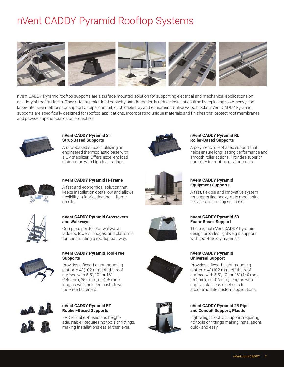# nVent CADDY Pyramid Rooftop Systems



nVent CADDY Pyramid rooftop supports are a surface mounted solution for supporting electrical and mechanical applications on a variety of roof surfaces. They offer superior load capacity and dramatically reduce installation time by replacing slow, heavy and labor-intensive methods for support of pipe, conduit, duct, cable tray and equipment. Unlike wood blocks, nVent CADDY Pyramid supports are specifically designed for rooftop applications, incorporating unique materials and finishes that protect roof membranes and provide superior corrosion protection.



**nVent CADDY Pyramid ST Strut-Based Supports**

A strut-based support utilizing an engineered thermoplastic base with a UV stabilizer. Offers excellent load distribution with high load ratings.



#### **nVent CADDY Pyramid H-Frame**

A fast and economical solution that keeps installation costs low and allows flexibility in fabricating the H-frame on site.



#### **nVent CADDY Pyramid Crossovers and Walkways**

Complete portfolio of walkways, ladders, towers, bridges, and platforms for constructing a rooftop pathway.



#### **nVent CADDY Pyramid Tool-Free Supports**

Provides a fixed-height mounting platform 4" (102 mm) off the roof surface with 5.5", 10" or 16" (140 mm, 254 mm, or 406 mm) lengths with included push down tool-free fasteners.



#### **nVent CADDY Pyramid EZ Rubber-Based Supports**

EPDM rubber-based and heightadjustable. Requires no tools or fittings, making installations easier than ever.



#### **nVent CADDY Pyramid RL Roller-Based Supports**

A polymeric roller-based support that helps ensure long-lasting performance and smooth roller actions. Provides superior durability for rooftop environments.







### **nVent CADDY Pyramid Universal Support** Provides a fixed-height mounting

platform 4" (102 mm) off the roof surface with 5.5", 10" or 16" (140 mm, 254 mm, or 406 mm) lengths with captive stainless steel nuts to accommodate custom applications.

### **nVent CADDY Pyramid 25 Pipe and Conduit Support, Plastic**

Lightweight rooftop support requiring no tools or fittings making installations quick and easy.

### **nVent CADDY Pyramid Equipment Supports**

A fast, flexible and innovative system for supporting heavy-duty mechanical services on rooftop surfaces.

### **nVent CADDY Pyramid 50 Foam-Based Support**

The original nVent CADDY Pyramid design provides lightweight support with roof-friendly materials.